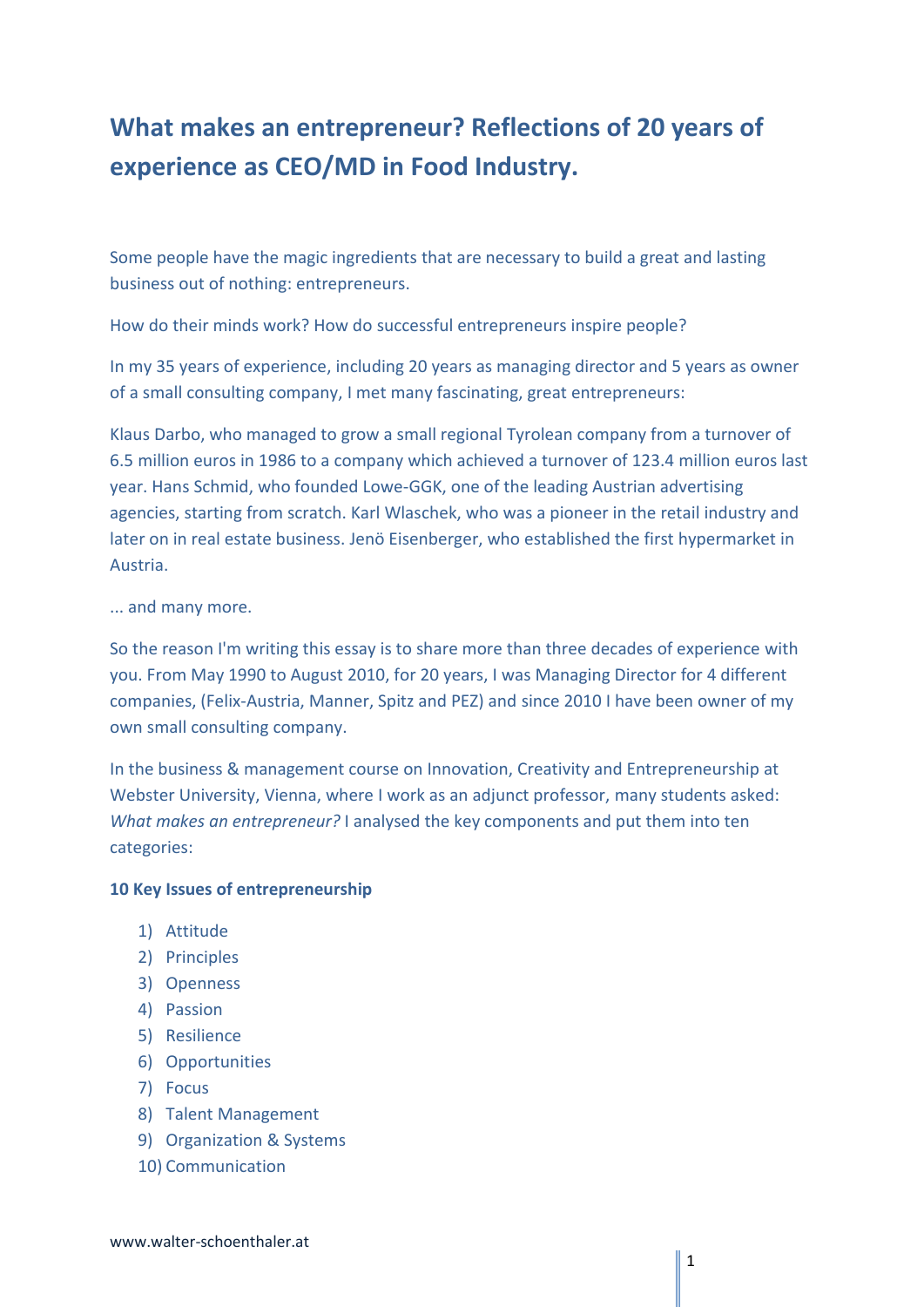# **What makes an entrepreneur? Reflections of 20 years of experience as CEO/MD in Food Industry.**

Some people have the magic ingredients that are necessary to build a great and lasting business out of nothing: entrepreneurs.

How do their minds work? How do successful entrepreneurs inspire people?

In my 35 years of experience, including 20 years as managing director and 5 years as owner of a small consulting company, I met many fascinating, great entrepreneurs:

Klaus Darbo, who managed to grow a small regional Tyrolean company from a turnover of 6.5 million euros in 1986 to a company which achieved a turnover of 123.4 million euros last year. Hans Schmid, who founded Lowe-GGK, one of the leading Austrian advertising agencies, starting from scratch. Karl Wlaschek, who was a pioneer in the retail industry and later on in real estate business. Jenö Eisenberger, who established the first hypermarket in Austria.

... and many more.

So the reason I'm writing this essay is to share more than three decades of experience with you. From May 1990 to August 2010, for 20 years, I was Managing Director for 4 different companies, (Felix-Austria, Manner, Spitz and PEZ) and since 2010 I have been owner of my own small consulting company.

In the business & management course on Innovation, Creativity and Entrepreneurship at Webster University, Vienna, where I work as an adjunct professor, many students asked: *What makes an entrepreneur?* I analysed the key components and put them into ten categories:

#### **10 Key Issues of entrepreneurship**

- 1) Attitude
- 2) Principles
- 3) Openness
- 4) Passion
- 5) Resilience
- 6) Opportunities
- 7) Focus
- 8) Talent Management
- 9) Organization & Systems
- 10) Communication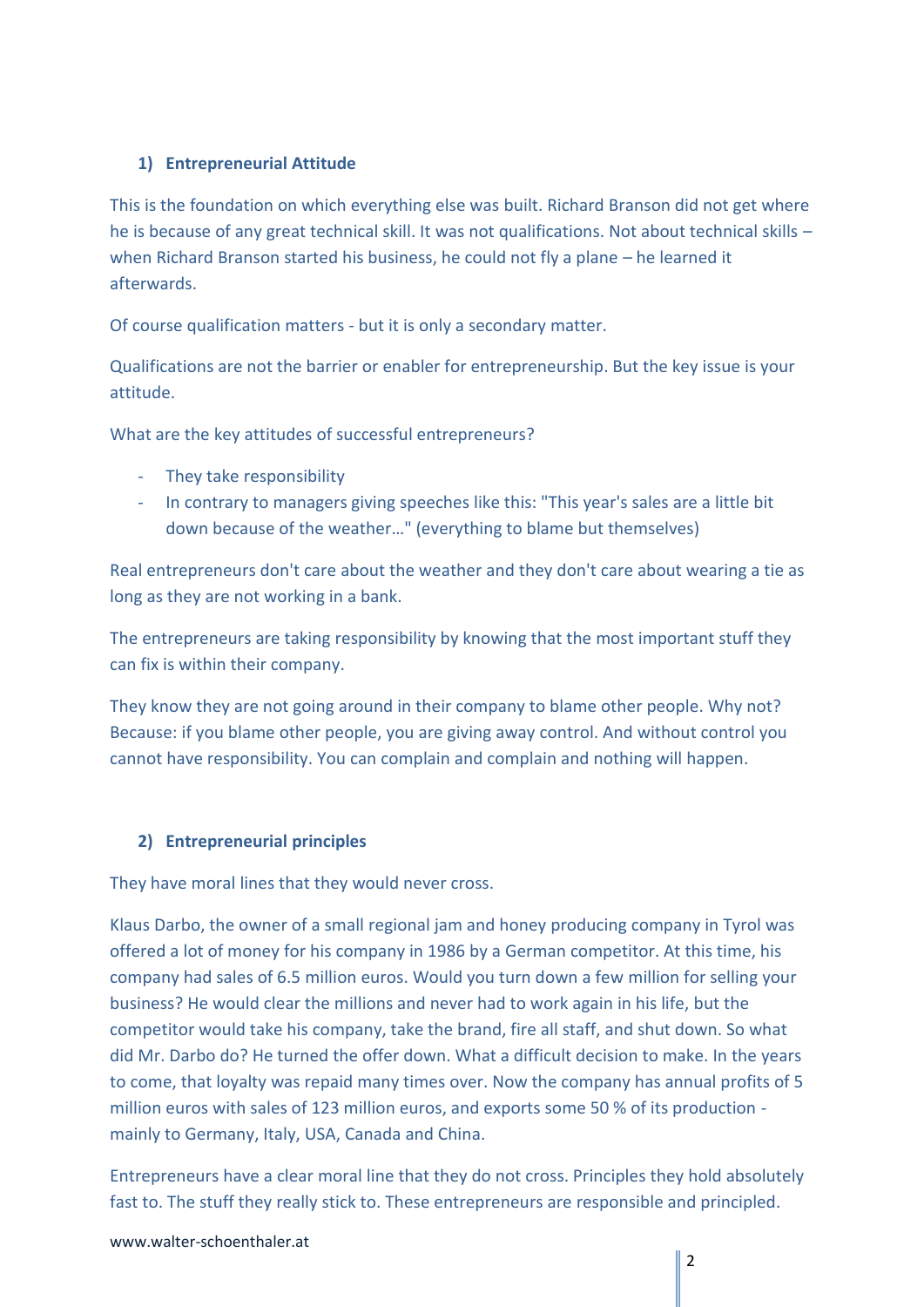## **1) Entrepreneurial Attitude**

This is the foundation on which everything else was built. Richard Branson did not get where he is because of any great technical skill. It was not qualifications. Not about technical skills – when Richard Branson started his business, he could not fly a plane – he learned it afterwards.

Of course qualification matters - but it is only a secondary matter.

Qualifications are not the barrier or enabler for entrepreneurship. But the key issue is your attitude.

What are the key attitudes of successful entrepreneurs?

- They take responsibility
- In contrary to managers giving speeches like this: "This year's sales are a little bit down because of the weather…" (everything to blame but themselves)

Real entrepreneurs don't care about the weather and they don't care about wearing a tie as long as they are not working in a bank.

The entrepreneurs are taking responsibility by knowing that the most important stuff they can fix is within their company.

They know they are not going around in their company to blame other people. Why not? Because: if you blame other people, you are giving away control. And without control you cannot have responsibility. You can complain and complain and nothing will happen.

## **2) Entrepreneurial principles**

They have moral lines that they would never cross.

Klaus Darbo, the owner of a small regional jam and honey producing company in Tyrol was offered a lot of money for his company in 1986 by a German competitor. At this time, his company had sales of 6.5 million euros. Would you turn down a few million for selling your business? He would clear the millions and never had to work again in his life, but the competitor would take his company, take the brand, fire all staff, and shut down. So what did Mr. Darbo do? He turned the offer down. What a difficult decision to make. In the years to come, that loyalty was repaid many times over. Now the company has annual profits of 5 million euros with sales of 123 million euros, and exports some 50 % of its production mainly to Germany, Italy, USA, Canada and China.

Entrepreneurs have a clear moral line that they do not cross. Principles they hold absolutely fast to. The stuff they really stick to. These entrepreneurs are responsible and principled.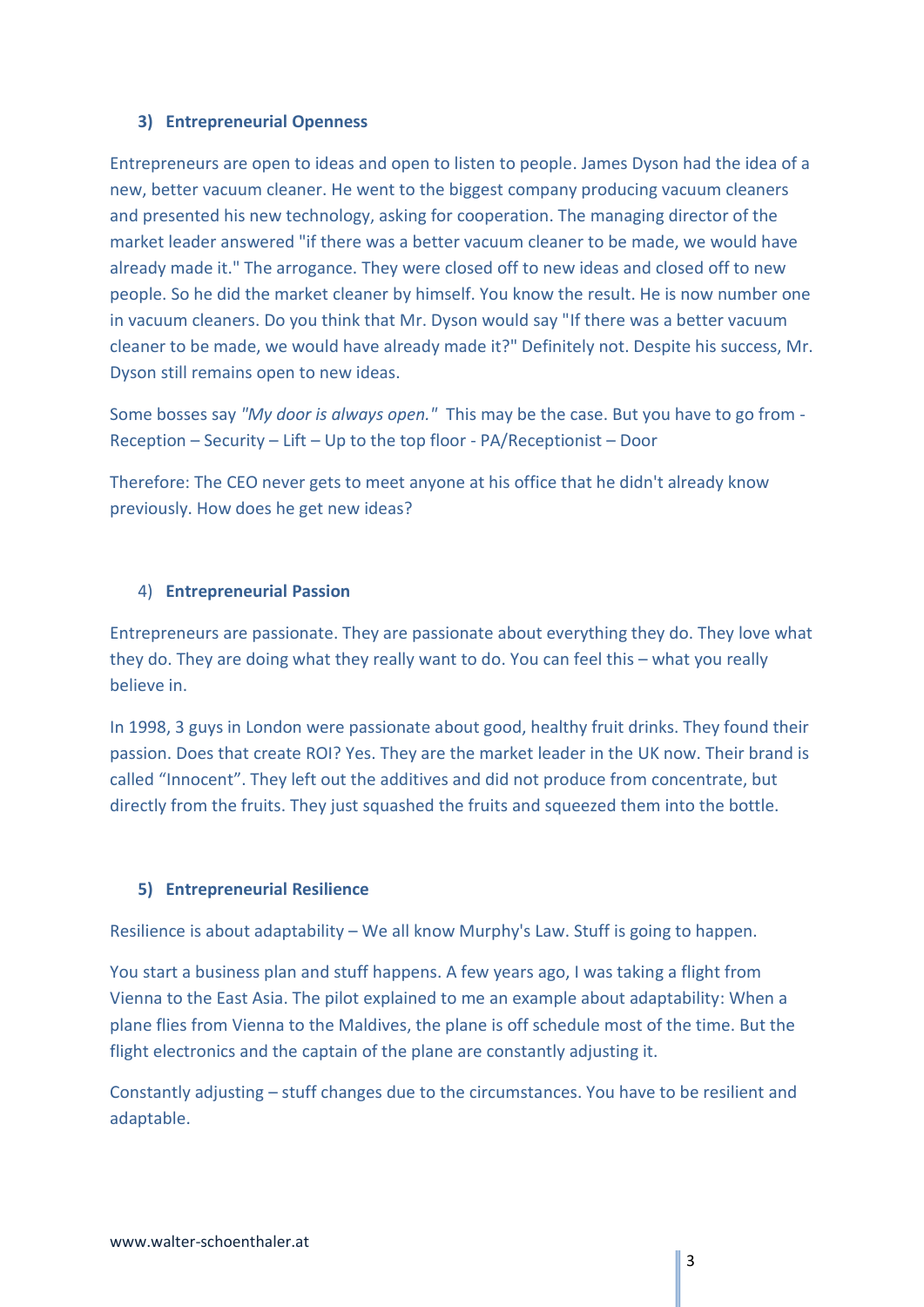### **3) Entrepreneurial Openness**

Entrepreneurs are open to ideas and open to listen to people. James Dyson had the idea of a new, better vacuum cleaner. He went to the biggest company producing vacuum cleaners and presented his new technology, asking for cooperation. The managing director of the market leader answered "if there was a better vacuum cleaner to be made, we would have already made it." The arrogance. They were closed off to new ideas and closed off to new people. So he did the market cleaner by himself. You know the result. He is now number one in vacuum cleaners. Do you think that Mr. Dyson would say "If there was a better vacuum cleaner to be made, we would have already made it?" Definitely not. Despite his success, Mr. Dyson still remains open to new ideas.

Some bosses say *"My door is always open."* This may be the case. But you have to go from - Reception – Security – Lift – Up to the top floor - PA/Receptionist – Door

Therefore: The CEO never gets to meet anyone at his office that he didn't already know previously. How does he get new ideas?

## 4) **Entrepreneurial Passion**

Entrepreneurs are passionate. They are passionate about everything they do. They love what they do. They are doing what they really want to do. You can feel this – what you really believe in.

In 1998, 3 guys in London were passionate about good, healthy fruit drinks. They found their passion. Does that create ROI? Yes. They are the market leader in the UK now. Their brand is called "Innocent". They left out the additives and did not produce from concentrate, but directly from the fruits. They just squashed the fruits and squeezed them into the bottle.

## **5) Entrepreneurial Resilience**

Resilience is about adaptability – We all know Murphy's Law. Stuff is going to happen.

You start a business plan and stuff happens. A few years ago, I was taking a flight from Vienna to the East Asia. The pilot explained to me an example about adaptability: When a plane flies from Vienna to the Maldives, the plane is off schedule most of the time. But the flight electronics and the captain of the plane are constantly adjusting it.

Constantly adjusting – stuff changes due to the circumstances. You have to be resilient and adaptable.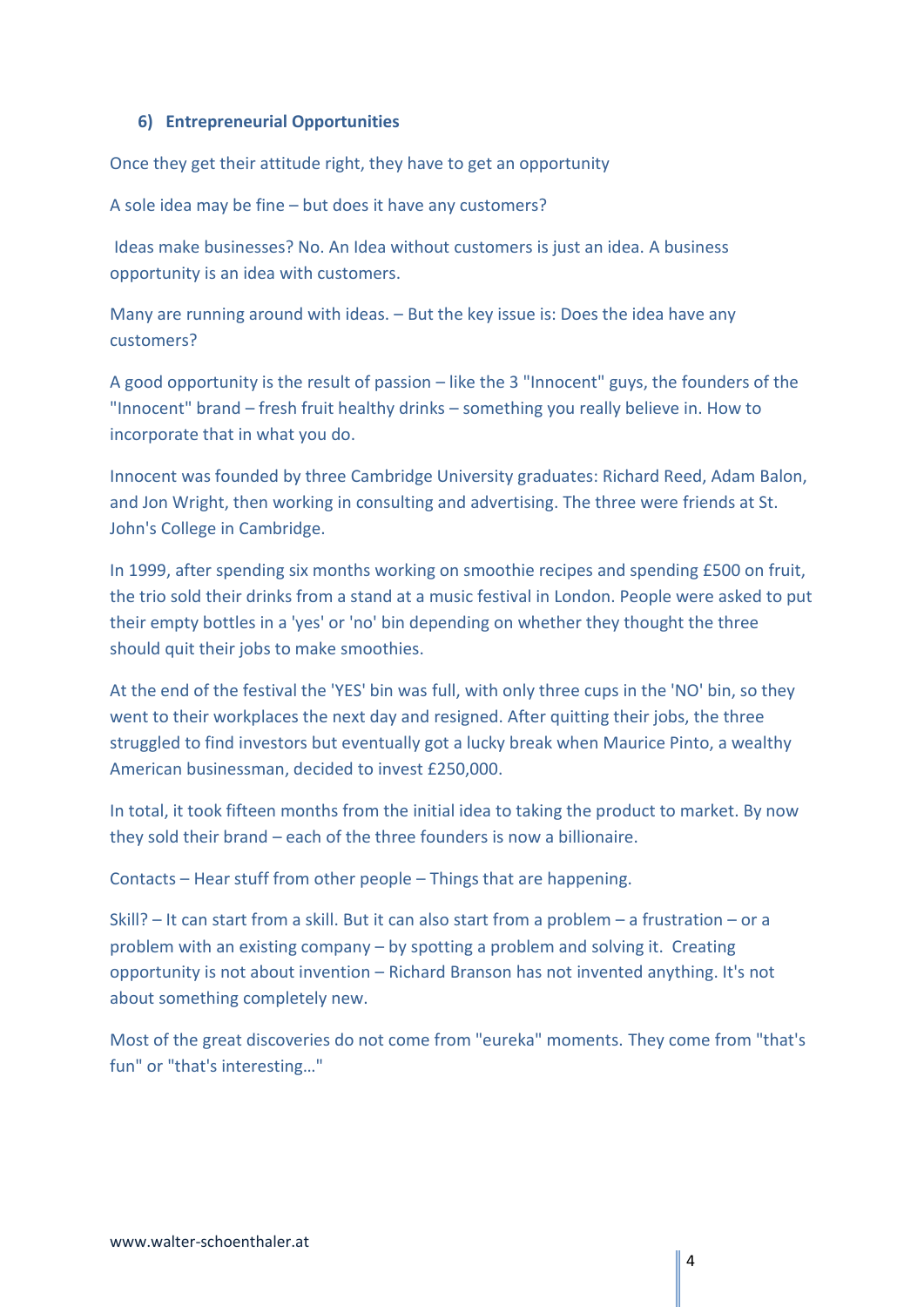### **6) Entrepreneurial Opportunities**

Once they get their attitude right, they have to get an opportunity

A sole idea may be fine – but does it have any customers?

Ideas make businesses? No. An Idea without customers is just an idea. A business opportunity is an idea with customers.

Many are running around with ideas. – But the key issue is: Does the idea have any customers?

A good opportunity is the result of passion – like the 3 "Innocent" guys, the founders of the "Innocent" brand – fresh fruit healthy drinks – something you really believe in. How to incorporate that in what you do.

Innocent was founded by three Cambridge University graduates: Richard Reed, Adam Balon, and Jon Wright, then working in consulting and advertising. The three were friends at St. John's College in Cambridge.

In 1999, after spending six months working on smoothie recipes and spending £500 on fruit, the trio sold their drinks from a stand at a music festival in London. People were asked to put their empty bottles in a 'yes' or 'no' bin depending on whether they thought the three should quit their jobs to make smoothies.

At the end of the festival the 'YES' bin was full, with only three cups in the 'NO' bin, so they went to their workplaces the next day and resigned. After quitting their jobs, the three struggled to find investors but eventually got a lucky break when Maurice Pinto, a wealthy American businessman, decided to invest £250,000.

In total, it took fifteen months from the initial idea to taking the product to market. By now they sold their brand – each of the three founders is now a billionaire.

Contacts – Hear stuff from other people – Things that are happening.

Skill? – It can start from a skill. But it can also start from a problem – a frustration – or a problem with an existing company – by spotting a problem and solving it. Creating opportunity is not about invention – Richard Branson has not invented anything. It's not about something completely new.

Most of the great discoveries do not come from "eureka" moments. They come from "that's fun" or "that's interesting…"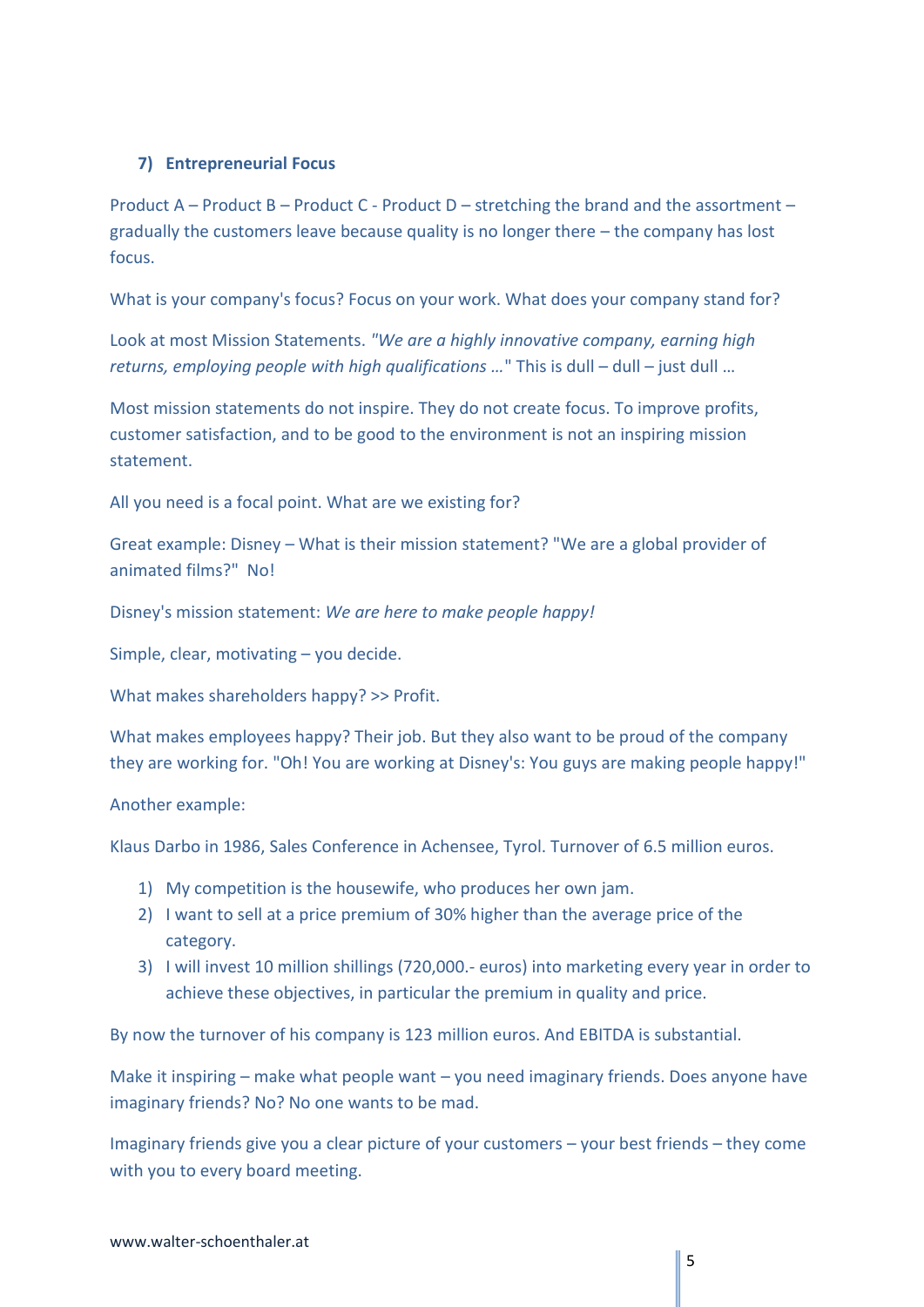## **7) Entrepreneurial Focus**

Product A – Product B – Product C - Product D – stretching the brand and the assortment – gradually the customers leave because quality is no longer there – the company has lost focus.

What is your company's focus? Focus on your work. What does your company stand for?

Look at most Mission Statements. *"We are a highly innovative company, earning high returns, employing people with high qualifications …*" This is dull – dull – just dull …

Most mission statements do not inspire. They do not create focus. To improve profits, customer satisfaction, and to be good to the environment is not an inspiring mission statement.

All you need is a focal point. What are we existing for?

Great example: Disney – What is their mission statement? "We are a global provider of animated films?" No!

Disney's mission statement: *We are here to make people happy!*

Simple, clear, motivating – you decide.

What makes shareholders happy? >> Profit.

What makes employees happy? Their job. But they also want to be proud of the company they are working for. "Oh! You are working at Disney's: You guys are making people happy!"

Another example:

Klaus Darbo in 1986, Sales Conference in Achensee, Tyrol. Turnover of 6.5 million euros.

- 1) My competition is the housewife, who produces her own jam.
- 2) I want to sell at a price premium of 30% higher than the average price of the category.
- 3) I will invest 10 million shillings (720,000.- euros) into marketing every year in order to achieve these objectives, in particular the premium in quality and price.

By now the turnover of his company is 123 million euros. And EBITDA is substantial.

Make it inspiring – make what people want – you need imaginary friends. Does anyone have imaginary friends? No? No one wants to be mad.

Imaginary friends give you a clear picture of your customers – your best friends – they come with you to every board meeting.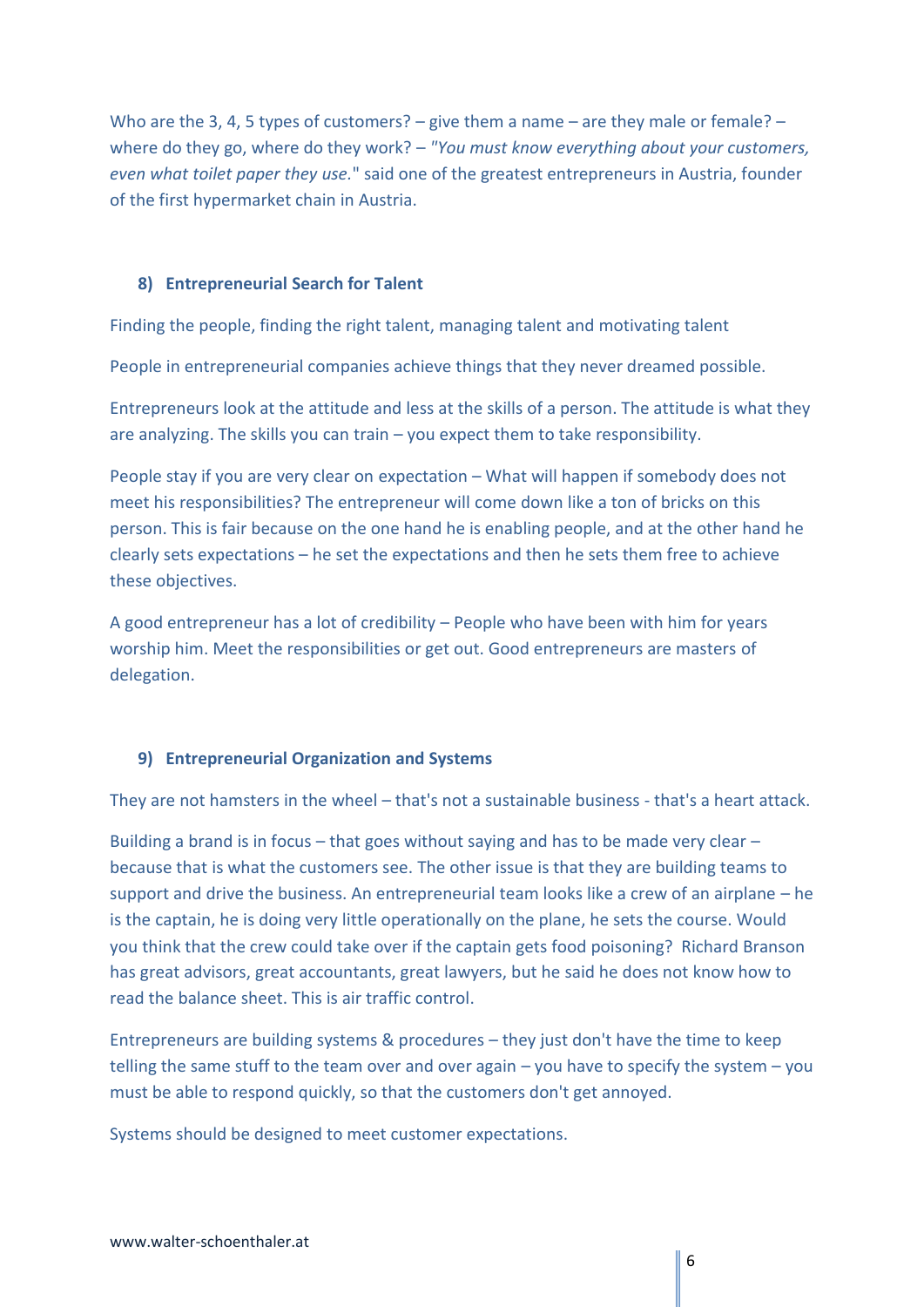Who are the 3, 4, 5 types of customers?  $-$  give them a name  $-$  are they male or female?  $$ where do they go, where do they work? – *"You must know everything about your customers, even what toilet paper they use.*" said one of the greatest entrepreneurs in Austria, founder of the first hypermarket chain in Austria.

#### **8) Entrepreneurial Search for Talent**

Finding the people, finding the right talent, managing talent and motivating talent

People in entrepreneurial companies achieve things that they never dreamed possible.

Entrepreneurs look at the attitude and less at the skills of a person. The attitude is what they are analyzing. The skills you can train – you expect them to take responsibility.

People stay if you are very clear on expectation – What will happen if somebody does not meet his responsibilities? The entrepreneur will come down like a ton of bricks on this person. This is fair because on the one hand he is enabling people, and at the other hand he clearly sets expectations – he set the expectations and then he sets them free to achieve these objectives.

A good entrepreneur has a lot of credibility – People who have been with him for years worship him. Meet the responsibilities or get out. Good entrepreneurs are masters of delegation.

#### **9) Entrepreneurial Organization and Systems**

They are not hamsters in the wheel – that's not a sustainable business - that's a heart attack.

Building a brand is in focus – that goes without saying and has to be made very clear – because that is what the customers see. The other issue is that they are building teams to support and drive the business. An entrepreneurial team looks like a crew of an airplane – he is the captain, he is doing very little operationally on the plane, he sets the course. Would you think that the crew could take over if the captain gets food poisoning? Richard Branson has great advisors, great accountants, great lawyers, but he said he does not know how to read the balance sheet. This is air traffic control.

Entrepreneurs are building systems & procedures – they just don't have the time to keep telling the same stuff to the team over and over again  $-$  you have to specify the system  $-$  you must be able to respond quickly, so that the customers don't get annoyed.

Systems should be designed to meet customer expectations.